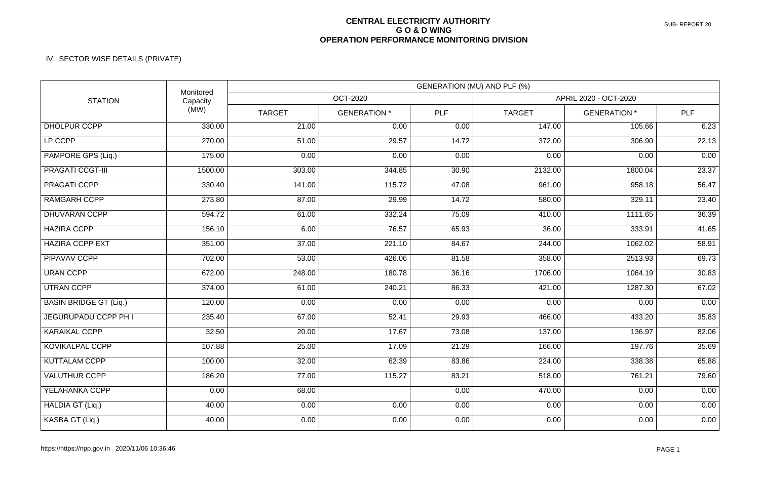## **CENTRAL ELECTRICITY AUTHORITY G O & D WING OPERATION PERFORMANCE MONITORING DIVISION**

## IV. SECTOR WISE DETAILS (PRIVATE)

| <b>STATION</b>                | Monitored<br>Capacity<br>(MW) | GENERATION (MU) AND PLF (%) |                     |            |                       |                     |       |  |
|-------------------------------|-------------------------------|-----------------------------|---------------------|------------|-----------------------|---------------------|-------|--|
|                               |                               | <b>OCT-2020</b>             |                     |            | APRIL 2020 - OCT-2020 |                     |       |  |
|                               |                               | <b>TARGET</b>               | <b>GENERATION *</b> | <b>PLF</b> | <b>TARGET</b>         | <b>GENERATION *</b> | PLF   |  |
| DHOLPUR CCPP                  | 330.00                        | 21.00                       | 0.00                | 0.00       | 147.00                | 105.66              | 6.23  |  |
| I.P.CCPP                      | 270.00                        | 51.00                       | 29.57               | 14.72      | 372.00                | 306.90              | 22.13 |  |
| PAMPORE GPS (Liq.)            | 175.00                        | 0.00                        | 0.00                | 0.00       | 0.00                  | 0.00                | 0.00  |  |
| <b>PRAGATI CCGT-III</b>       | 1500.00                       | 303.00                      | 344.85              | 30.90      | 2132.00               | 1800.04             | 23.37 |  |
| <b>PRAGATI CCPP</b>           | 330.40                        | 141.00                      | 115.72              | 47.08      | 961.00                | 958.18              | 56.47 |  |
| <b>RAMGARH CCPP</b>           | 273.80                        | 87.00                       | 29.99               | 14.72      | 580.00                | 329.11              | 23.40 |  |
| <b>DHUVARAN CCPP</b>          | 594.72                        | 61.00                       | 332.24              | 75.09      | 410.00                | 1111.65             | 36.39 |  |
| <b>HAZIRA CCPP</b>            | 156.10                        | 6.00                        | 76.57               | 65.93      | 36.00                 | 333.91              | 41.65 |  |
| <b>HAZIRA CCPP EXT</b>        | 351.00                        | 37.00                       | 221.10              | 84.67      | 244.00                | 1062.02             | 58.91 |  |
| <b>PIPAVAV CCPP</b>           | 702.00                        | 53.00                       | 426.06              | 81.58      | 358.00                | 2513.93             | 69.73 |  |
| <b>URAN CCPP</b>              | 672.00                        | 248.00                      | 180.78              | 36.16      | 1706.00               | 1064.19             | 30.83 |  |
| <b>UTRAN CCPP</b>             | 374.00                        | 61.00                       | 240.21              | 86.33      | 421.00                | 1287.30             | 67.02 |  |
| <b>BASIN BRIDGE GT (Liq.)</b> | 120.00                        | 0.00                        | 0.00                | 0.00       | 0.00                  | 0.00                | 0.00  |  |
| JEGURUPADU CCPP PH I          | 235.40                        | 67.00                       | 52.41               | 29.93      | 466.00                | 433.20              | 35.83 |  |
| <b>KARAIKAL CCPP</b>          | 32.50                         | 20.00                       | 17.67               | 73.08      | 137.00                | 136.97              | 82.06 |  |
| KOVIKALPAL CCPP               | 107.88                        | 25.00                       | 17.09               | 21.29      | 166.00                | 197.76              | 35.69 |  |
| <b>KUTTALAM CCPP</b>          | 100.00                        | 32.00                       | 62.39               | 83.86      | 224.00                | 338.38              | 65.88 |  |
| <b>VALUTHUR CCPP</b>          | 186.20                        | 77.00                       | 115.27              | 83.21      | 518.00                | 761.21              | 79.60 |  |
| YELAHANKA CCPP                | 0.00                          | 68.00                       |                     | 0.00       | 470.00                | 0.00                | 0.00  |  |
| HALDIA GT (Liq.)              | 40.00                         | 0.00                        | 0.00                | 0.00       | 0.00                  | 0.00                | 0.00  |  |
| KASBA GT (Liq.)               | 40.00                         | 0.00                        | 0.00                | 0.00       | 0.00                  | 0.00                | 0.00  |  |